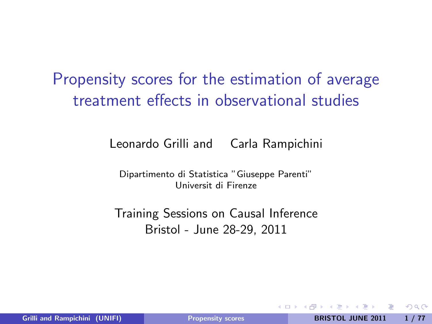Propensity scores for the estimation of average treatment effects in observational studies

Leonardo Grilli and Carla Rampichini

Dipartimento di Statistica "Giuseppe Parenti" Universit di Firenze

<span id="page-0-0"></span>Training Sessions on Causal Inference Bristol - June 28-29, 2011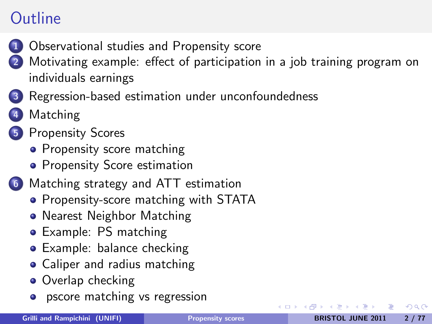## **Outline**

- [Observational studies and Propensity score](#page-2-0)
- [Motivating example: effect of participation in a job training program on](#page-15-0) [individuals earnings](#page-15-0)
- [Regression-based estimation under unconfoundedness](#page-17-0)
- **[Matching](#page-26-0)**
- 5 [Propensity Scores](#page-28-0)
	- [Propensity score matching](#page-33-0)
	- [Propensity Score estimation](#page-36-0)
- 6 [Matching strategy and ATT estimation](#page-44-0)
	- [Propensity-score matching with STATA](#page-49-0)
	- [Nearest Neighbor Matching](#page-52-0)
	- **•** [Example: PS matching](#page-59-0)
	- [Example: balance checking](#page-64-0)
	- [Caliper and radius matching](#page-67-0)
	- [Overlap checking](#page-71-0)
	- **•** [pscore matching vs regression](#page-72-0)

 $200$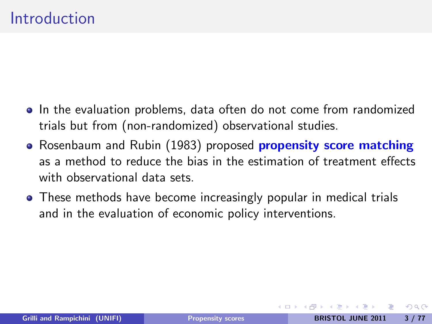- In the evaluation problems, data often do not come from randomized trials but from (non-randomized) observational studies.
- Rosenbaum and Rubin (1983) proposed propensity score matching as a method to reduce the bias in the estimation of treatment effects with observational data sets.
- <span id="page-2-0"></span>These methods have become increasingly popular in medical trials and in the evaluation of economic policy interventions.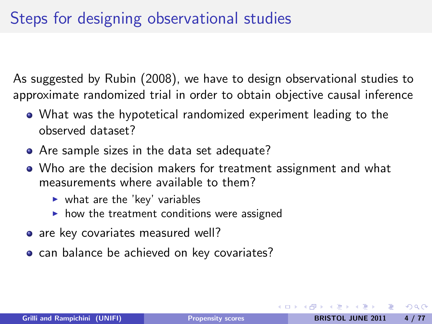## Steps for designing observational studies

As suggested by Rubin (2008), we have to design observational studies to approximate randomized trial in order to obtain objective causal inference

- What was the hypotetical randomized experiment leading to the observed dataset?
- Are sample sizes in the data set adequate?
- Who are the decision makers for treatment assignment and what measurements where available to them?
	- $\blacktriangleright$  what are the 'key' variables
	- $\blacktriangleright$  how the treatment conditions were assigned
- are key covariates measured well?
- can balance be achieved on key covariates?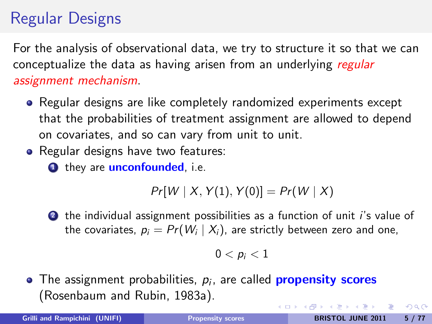## Regular Designs

For the analysis of observational data, we try to structure it so that we can conceptualize the data as having arisen from an underlying regular assignment mechanism.

- Regular designs are like completely randomized experiments except that the probabilities of treatment assignment are allowed to depend on covariates, and so can vary from unit to unit.
- Regular designs have two features:

**1** they are **unconfounded**, i.e.

$$
Pr[W \mid X, Y(1), Y(0)] = Pr(W \mid X)
$$

2 the individual assignment possibilities as a function of unit *i's* value of the covariates,  $\mathcal{p}_i = \mathit{Pr}( \mathit{W}_i \mid X_i )$ , are strictly between zero and one,

$$
0
$$

The assignment probabilities,  $\rho_i$ , are called <mark>propensity scores</mark> (Rosenbaum and Rubin, 1983a). イロト イ押 トイヨ トイヨ トーヨ

 $QQ$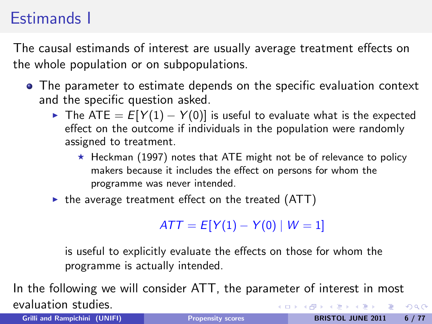## Estimands I

The causal estimands of interest are usually average treatment effects on the whole population or on subpopulations.

- The parameter to estimate depends on the specific evaluation context and the specific question asked.
	- ► The ATE =  $E[Y(1) Y(0)]$  is useful to evaluate what is the expected effect on the outcome if individuals in the population were randomly assigned to treatment.
		- $\star$  Heckman (1997) notes that ATE might not be of relevance to policy makers because it includes the effect on persons for whom the programme was never intended.
	- $\triangleright$  the average treatment effect on the treated (ATT)

 $ATT = E[Y(1) - Y(0) | W = 1]$ 

is useful to explicitly evaluate the effects on those for whom the programme is actually intended.

In the following we will consider ATT, the parameter of interest in most evaluation studies. イロン イ母ン イヨン イヨン  $2990$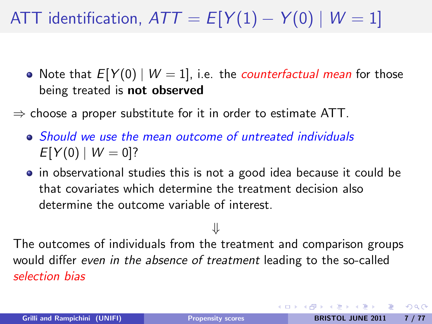# ATT identification,  $ATT = E[Y(1) - Y(0) | W = 1]$

- Note that  $E[Y(0) | W = 1]$ , i.e. the *counterfactual mean* for those being treated is not observed
- $\Rightarrow$  choose a proper substitute for it in order to estimate ATT.
	- Should we use the mean outcome of untreated individuals  $E[Y(0) | W = 0]$ ?
	- in observational studies this is not a good idea because it could be that covariates which determine the treatment decision also determine the outcome variable of interest.

⇓

The outcomes of individuals from the treatment and comparison groups would differ even in the absence of treatment leading to the so-called selection bias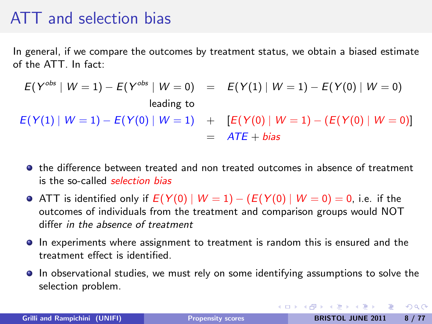#### ATT and selection bias

In general, if we compare the outcomes by treatment status, we obtain a biased estimate of the ATT. In fact:

$$
E(Y^{obs} | W = 1) - E(Y^{obs} | W = 0) = E(Y(1) | W = 1) - E(Y(0) | W = 0)
$$
  
leading to  

$$
E(Y(1) | W = 1) - E(Y(0) | W = 1) + [E(Y(0) | W = 1) - (E(Y(0) | W = 0))]
$$
  
= 
$$
ATF + bias
$$

- $\bullet$  the difference between treated and non treated outcomes in absence of treatment is the so-called selection bias
- **•** ATT is identified only if  $E(Y(0) | W = 1) (E(Y(0) | W = 0) = 0$ , i.e. if the outcomes of individuals from the treatment and comparison groups would NOT differ in the absence of treatment
- In experiments where assignment to treatment is random this is ensured and the treatment effect is identified.
- In observational studies, we must rely on some identifying assumptions to solve the selection problem.

KED KAD KED KED E LOQO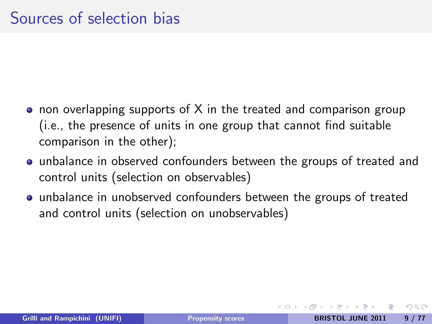- non overlapping supports of X in the treated and comparison group (i.e., the presence of units in one group that cannot find suitable comparison in the other);
- unbalance in observed confounders between the groups of treated and control units (selection on observables)
- unbalance in unobserved confounders between the groups of treated and control units (selection on unobservables)

つのへ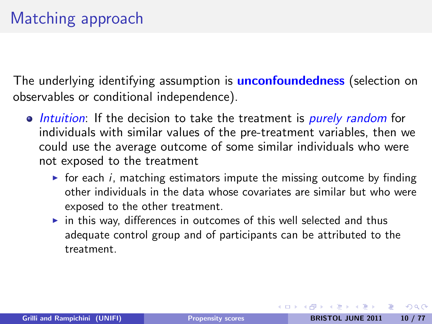The underlying identifying assumption is **unconfoundedness** (selection on observables or conditional independence).

- Intuition: If the decision to take the treatment is purely random for individuals with similar values of the pre-treatment variables, then we could use the average outcome of some similar individuals who were not exposed to the treatment
	- $\triangleright$  for each *i*, matching estimators impute the missing outcome by finding other individuals in the data whose covariates are similar but who were exposed to the other treatment.
	- $\triangleright$  in this way, differences in outcomes of this well selected and thus adequate control group and of participants can be attributed to the treatment.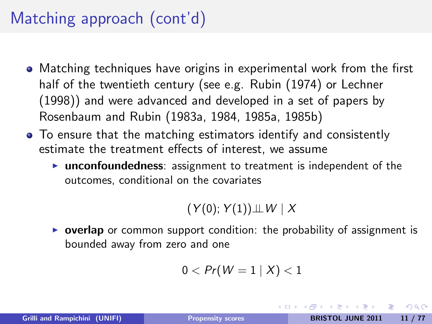## Matching approach (cont'd)

- Matching techniques have origins in experimental work from the first half of the twentieth century (see e.g. Rubin (1974) or Lechner (1998)) and were advanced and developed in a set of papers by Rosenbaum and Rubin (1983a, 1984, 1985a, 1985b)
- To ensure that the matching estimators identify and consistently estimate the treatment effects of interest, we assume
	- $\triangleright$  unconfoundedness: assignment to treatment is independent of the outcomes, conditional on the covariates

 $(Y(0); Y(1)) \perp W \mid X$ 

**Depending Dep** or common support condition: the probability of assignment is bounded away from zero and one

$$
0 < Pr(W = 1 | X) < 1
$$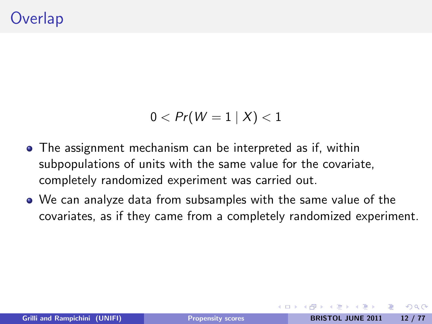$$
0 < Pr(W=1 | X) < 1
$$

- The assignment mechanism can be interpreted as if, within subpopulations of units with the same value for the covariate, completely randomized experiment was carried out.
- We can analyze data from subsamples with the same value of the covariates, as if they came from a completely randomized experiment.

 $200$ 

4 0 8 4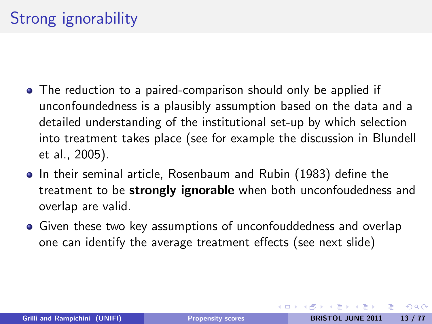- The reduction to a paired-comparison should only be applied if unconfoundedness is a plausibly assumption based on the data and a detailed understanding of the institutional set-up by which selection into treatment takes place (see for example the discussion in Blundell et al., 2005).
- **•** In their seminal article, Rosenbaum and Rubin (1983) define the treatment to be **strongly ignorable** when both unconfoudedness and overlap are valid.
- Given these two key assumptions of unconfouddedness and overlap one can identify the average treatment effects (see next slide)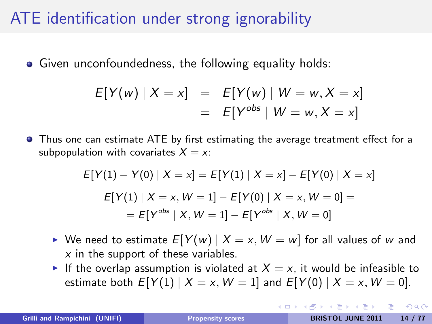## ATE identification under strong ignorability

• Given unconfoundedness, the following equality holds:

$$
E[Y(w) | X = x] = E[Y(w) | W = w, X = x]
$$
  
= 
$$
E[Y^{obs} | W = w, X = x]
$$

**•** Thus one can estimate ATE by first estimating the average treatment effect for a subpopulation with covariates  $X = x$ :

$$
E[Y(1) - Y(0) | X = x] = E[Y(1) | X = x] - E[Y(0) | X = x]
$$

$$
E[Y(1) | X = x, W = 1] - E[Y(0) | X = x, W = 0] =
$$

$$
= E[Y^{obs} | X, W = 1] - E[Y^{obs} | X, W = 0]
$$

- $\triangleright$  We need to estimate  $E[Y(w) | X = x, W = w]$  for all values of w and  $x$  in the support of these variables.
- If the overlap assumption is violated at  $X = x$ , it would be infeasible to estimate both  $E[Y(1) | X = x, W = 1]$  and  $E[Y(0) | X = x, W = 0]$ .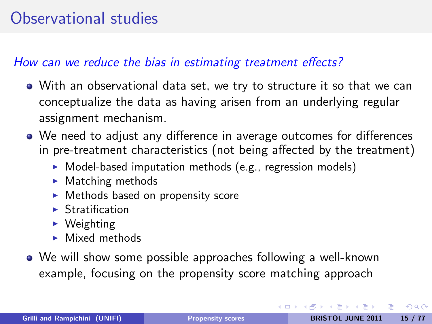## Observational studies

#### How can we reduce the bias in estimating treatment effects?

- With an observational data set, we try to structure it so that we can conceptualize the data as having arisen from an underlying regular assignment mechanism.
- We need to adjust any difference in average outcomes for differences in pre-treatment characteristics (not being affected by the treatment)
	- $\triangleright$  Model-based imputation methods (e.g., regression models)
	- $\blacktriangleright$  Matching methods
	- $\triangleright$  Methods based on propensity score
	- $\blacktriangleright$  Stratification
	- $\triangleright$  Weighting
	- $\blacktriangleright$  Mixed methods
- We will show some possible approaches following a well-known example, focusing on the propensity score matching approach

 $\Omega$ 

イロト イ母ト イラト イラト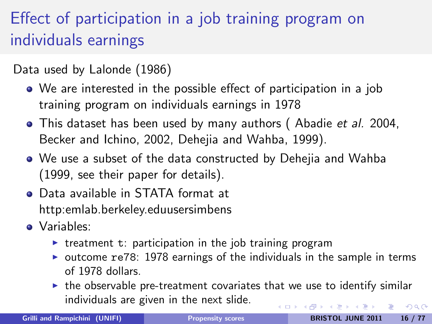# Effect of participation in a job training program on individuals earnings

Data used by Lalonde (1986)

- We are interested in the possible effect of participation in a job training program on individuals earnings in 1978
- This dataset has been used by many authors (Abadie et al. 2004, Becker and Ichino, 2002, Dehejia and Wahba, 1999).
- We use a subset of the data constructed by Dehejia and Wahba (1999, see their paper for details).
- Data available in STATA format at http:emlab.berkeley.eduusersimbens
- Variables:
	- $\triangleright$  treatment t: participation in the job training program
	- $\triangleright$  outcome re78: 1978 earnings of the individuals in the sample in terms of 1978 dollars.
	- $\triangleright$  the observable pre-treatment covariates that we use to identify similar individuals are given in the next slide. イロメ イ母メ イヨメ イヨメ  $2990$

<span id="page-15-0"></span>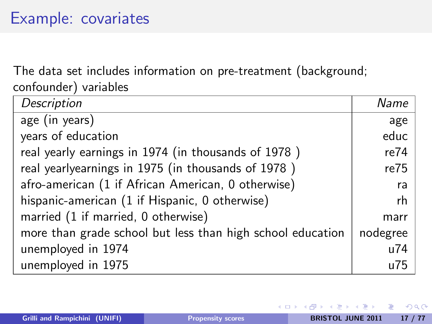## Example: covariates

The data set includes information on pre-treatment (background; confounder) variables

| Description                                                | Name     |
|------------------------------------------------------------|----------|
| age (in years)                                             | age      |
| years of education                                         | educ     |
| real yearly earnings in 1974 (in thousands of 1978)        | re74     |
| real yearlyearnings in 1975 (in thousands of 1978)         | re75     |
| afro-american (1 if African American, 0 otherwise)         | ra       |
| hispanic-american (1 if Hispanic, 0 otherwise)             | rh       |
| married (1 if married, 0 otherwise)                        | marr     |
| more than grade school but less than high school education | nodegree |
| unemployed in 1974                                         | u74      |
| unemployed in 1975                                         | u75      |

 $\Omega$ 

4 0 8 4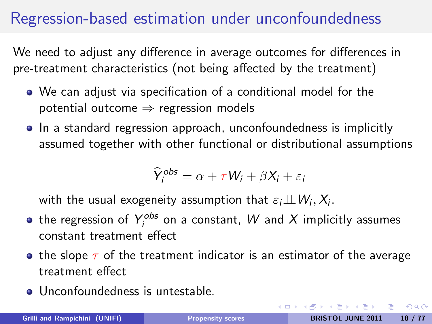## Regression-based estimation under unconfoundedness

We need to adjust any difference in average outcomes for differences in pre-treatment characteristics (not being affected by the treatment)

- We can adjust via specification of a conditional model for the potential outcome  $\Rightarrow$  regression models
- In a standard regression approach, unconfoundedness is implicitly assumed together with other functional or distributional assumptions

$$
\widehat{Y}_i^{obs} = \alpha + \tau W_i + \beta X_i + \varepsilon_i
$$

with the usual exogeneity assumption that  $\varepsilon_i\!\perp\!\!\!\perp W_i, X_i.$ 

- the regression of  $Y_{i}^{obs}$  on a constant,  $W$  and  $X$  implicitly assumes constant treatment effect
- **•** the slope  $\tau$  of the treatment indicator is an estimator of the average treatment effect
- Unconfoundedness is untestable.

<span id="page-17-0"></span>イロメ イ母メ イヨメ イヨメーヨ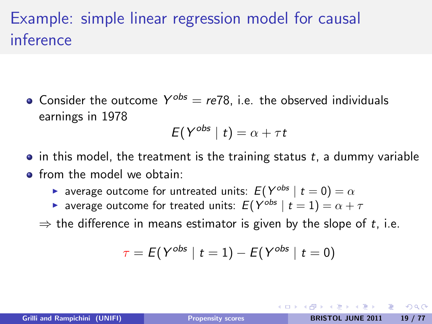## Example: simple linear regression model for causal inference

Consider the outcome  $Y^{obs} = re78$ , i.e. the observed individuals earnings in 1978

$$
E(Y^{obs} | t) = \alpha + \tau t
$$

- $\bullet$  in this model, the treatment is the training status t, a dummy variable
- **•** from the model we obtain:
	- **D** average outcome for untreated units:  $E(Y^{obs} | t = 0) = \alpha$
	- $\blacktriangleright$  average outcome for treated units:  $E(Y^{obs} \mid t = 1) = \alpha + \tau$
	- $\Rightarrow$  the difference in means estimator is given by the slope of t, i.e.

$$
\tau = \mathit{E}( \, Y^{obs} \mid t=1) - \mathit{E}( \, Y^{obs} \mid t=0)
$$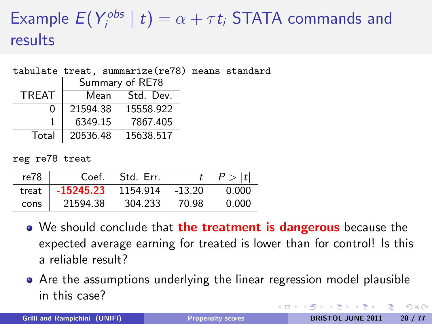#### Example  $E(Y_i^{obs}$  $\binom{c_{\textit{obs}}}{i}$  |  $t$ )  $=$   $\alpha + \tau t_i$  STATA commands and results

| tabulate treat, summarize (re78) means standard |                            |                 |                |  |
|-------------------------------------------------|----------------------------|-----------------|----------------|--|
|                                                 |                            | Summary of RE78 |                |  |
| TRFAT                                           |                            |                 | Mean Std. Dev. |  |
|                                                 | 21594.38 15558.922         |                 |                |  |
|                                                 | 6349.15 7867.405           |                 |                |  |
|                                                 | Total   20536.48 15638.517 |                 |                |  |

reg re78 treat

| re78  | Coef.       | Std. Err. |          | P >  t |
|-------|-------------|-----------|----------|--------|
| treat | $-15245.23$ | 1154.914  | $-13.20$ | 0.000  |
| cons  | 21594.38    | 304.233   | 70.98    | 0.000  |

- We should conclude that the treatment is dangerous because the expected average earning for treated is lower than for control! Is this a reliable result?
- Are the assumptions underlying the linear regression model plausible in this case?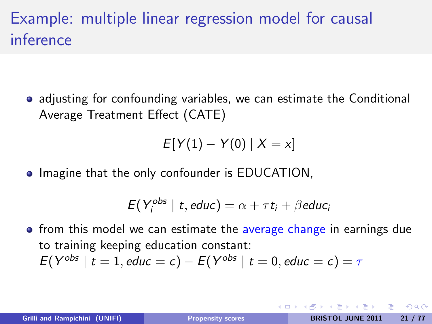## Example: multiple linear regression model for causal inference

• adjusting for confounding variables, we can estimate the Conditional Average Treatment Effect (CATE)

$$
E[Y(1) - Y(0) | X = x]
$$

**Imagine that the only confounder is EDUCATION,** 

$$
E(Y_i^{obs} \mid t, educ) = \alpha + \tau t_i + \beta educ_i
$$

• from this model we can estimate the average change in earnings due to training keeping education constant:  $E(Y^{obs} | t = 1,$  educ = c) –  $E(Y^{obs} | t = 0,$  educ = c) =  $\tau$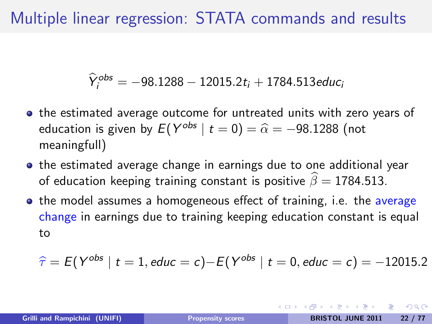## Multiple linear regression: STATA commands and results

$$
\widehat{Y}_i^{obs} = -98.1288 - 12015.2t_i + 1784.513 \text{educ}_i
$$

- the estimated average outcome for untreated units with zero years of education is given by  $E(Y^{obs} \mid t = 0) = \widehat{\alpha} = -98.1288$  (not meaningfull)
- **•** the estimated average change in earnings due to one additional year of education keeping training constant is positive  $\hat{\beta} = 1784.513$ .
- the model assumes a homogeneous effect of training, i.e. the average change in earnings due to training keeping education constant is equal to

$$
\hat{\tau} = E(Y^{obs} | t = 1, educ = c) - E(Y^{obs} | t = 0, educ = c) = -12015.2
$$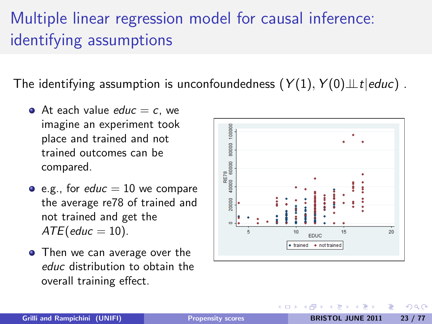## Multiple linear regression model for causal inference: identifying assumptions

The identifying assumption is unconfoundedness  $(Y(1), Y(0) \perp t | educ)$ .

- At each value  $educ = c$ , we imagine an experiment took place and trained and not trained outcomes can be compared.
- e.g., for educ  $= 10$  we compare the average re78 of trained and not trained and get the  $ATE($ educ = 10).
- Then we can average over the educ distribution to obtain the overall training effect.



つくい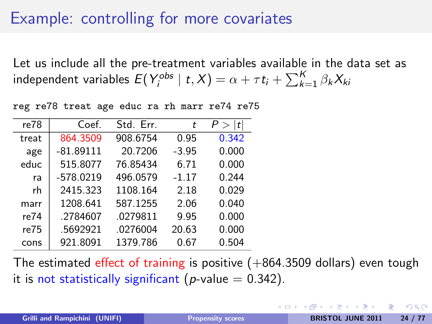#### Example: controlling for more covariates

Let us include all the pre-treatment variables available in the data set as independent variables  $E(Y_i^{obs} \mid t, X) = \alpha + \tau t_i + \sum_{k=1}^K \beta_k X_{ki}$ 

reg re78 treat age educ ra rh marr re74 re75

| re78  | Coef.       | Std. Err. | t       | t <br>P > |
|-------|-------------|-----------|---------|-----------|
| treat | 864.3509    | 908.6754  | 0.95    | 0.342     |
| age   | $-81.89111$ | 20.7206   | $-3.95$ | 0.000     |
| educ  | 515.8077    | 76.85434  | 6.71    | 0.000     |
| ra    | $-578.0219$ | 496.0579  | $-1.17$ | 0.244     |
| rh    | 2415.323    | 1108.164  | 2.18    | 0.029     |
| marr  | 1208.641    | 587.1255  | 2.06    | 0.040     |
| re74  | .2784607    | .0279811  | 9.95    | 0.000     |
| re75  | .5692921    | .0276004  | 20.63   | 0.000     |
| cons  | 921.8091    | 1379.786  | 0.67    | 0.504     |

The estimated effect of training is positive  $(+864.3509$  dollars) even tough it is not statistically significant (p-value  $= 0.342$ ).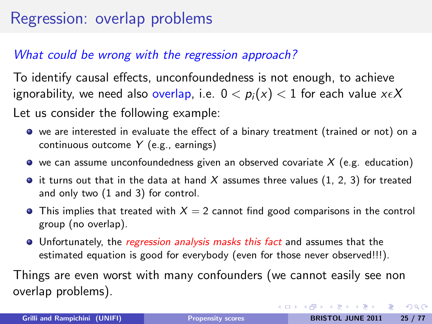#### Regression: overlap problems

#### What could be wrong with the regression approach?

To identify causal effects, unconfoundedness is not enough, to achieve ignorability, we need also overlap, i.e.  $0 < p_i(x) < 1$  for each value  $x \in X$ Let us consider the following example:

- we are interested in evaluate the effect of a binary treatment (trained or not) on a continuous outcome Y (e.g., earnings)
- $\bullet$  we can assume unconfoundedness given an observed covariate X (e.g. education)
- $\bullet$  it turns out that in the data at hand X assumes three values (1, 2, 3) for treated and only two (1 and 3) for control.
- **•** This implies that treated with  $X = 2$  cannot find good comparisons in the control group (no overlap).
- **•** Unfortunately, the *regression analysis masks this fact* and assumes that the estimated equation is good for everybody (even for those never observed!!!).

Things are even worst with many confounders (we cannot easily see non overlap problems).

 $\Omega$ 

イロト イ押 トイヨ トイヨ トーヨー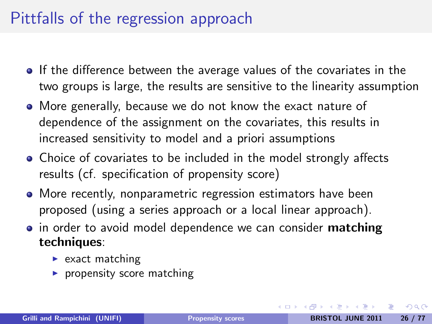#### Pittfalls of the regression approach

- **If the difference between the average values of the covariates in the** two groups is large, the results are sensitive to the linearity assumption
- More generally, because we do not know the exact nature of dependence of the assignment on the covariates, this results in increased sensitivity to model and a priori assumptions
- Choice of covariates to be included in the model strongly affects results (cf. specification of propensity score)
- More recently, nonparametric regression estimators have been proposed (using a series approach or a local linear approach).
- in order to avoid model dependence we can consider **matching** techniques:
	- $\blacktriangleright$  exact matching
	- $\blacktriangleright$  propensity score matching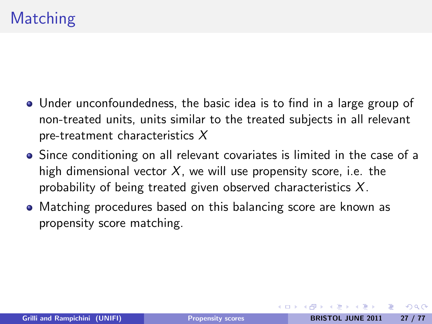- Under unconfoundedness, the basic idea is to find in a large group of non-treated units, units similar to the treated subjects in all relevant pre-treatment characteristics X
- Since conditioning on all relevant covariates is limited in the case of a high dimensional vector  $X$ , we will use propensity score, i.e. the probability of being treated given observed characteristics  $X$ .
- Matching procedures based on this balancing score are known as propensity score matching.

<span id="page-26-0"></span> $\Omega$ 

**∢ ロ ▶ ( 印**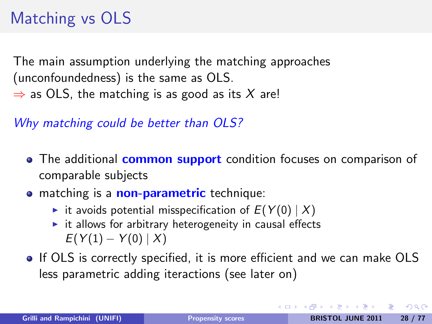# Matching vs OLS

The main assumption underlying the matching approaches (unconfoundedness) is the same as OLS.  $\Rightarrow$  as OLS, the matching is as good as its X are!

Why matching could be better than OLS?

- The additional **common support** condition focuses on comparison of comparable subjects
- **•** matching is a **non-parametric** technique:
	- it avoids potential misspecification of  $E(Y(0) | X)$
	- $\triangleright$  it allows for arbitrary heterogeneity in causal effects  $E(Y(1) - Y(0) | X)$
- If OLS is correctly specified, it is more efficient and we can make OLS less parametric adding iteractions (see later on)

 $\Omega$ 

イロメ イ母 トイラ トイラメー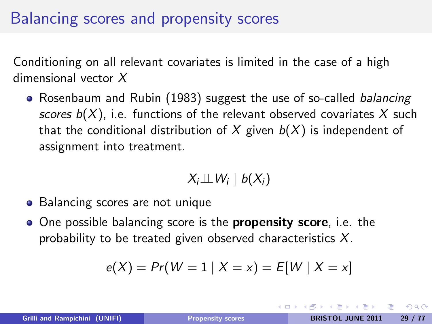## Balancing scores and propensity scores

Conditioning on all relevant covariates is limited in the case of a high dimensional vector X

• Rosenbaum and Rubin (1983) suggest the use of so-called *balancing* scores  $b(X)$ , i.e. functions of the relevant observed covariates X such that the conditional distribution of X given  $b(X)$  is independent of assignment into treatment.

<span id="page-28-0"></span>
$$
X_i \perp\!\!\!\perp W_i \mid b(X_i)
$$

- Balancing scores are not unique
- One possible balancing score is the **propensity score**, i.e. the probability to be treated given observed characteristics  $X$ .

$$
e(X) = Pr(W = 1 | X = x) = E[W | X = x]
$$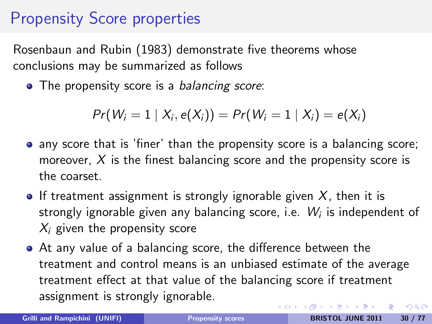## Propensity Score properties

Rosenbaun and Rubin (1983) demonstrate five theorems whose conclusions may be summarized as follows

• The propensity score is a *balancing score*:

 $Pr(W_i = 1 | X_i, e(X_i)) = Pr(W_i = 1 | X_i) = e(X_i)$ 

- any score that is 'finer' than the propensity score is a balancing score; moreover,  $X$  is the finest balancing score and the propensity score is the coarset.
- **•** If treatment assignment is strongly ignorable given  $X$ , then it is strongly ignorable given any balancing score, i.e.  $\,W_{i}$  is independent of  $X_i$  given the propensity score
- At any value of a balancing score, the difference between the treatment and control means is an unbiased estimate of the average treatment effect at that value of the balancing score if treatment assignment is strongly ignorable. イロメ イ母メ イヨメ イヨメーヨ  $\Omega$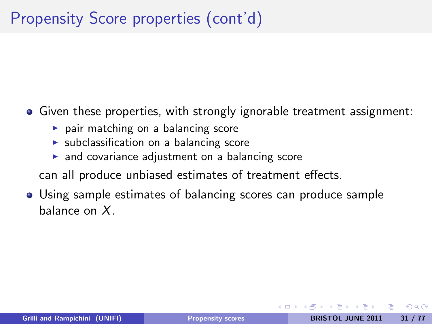• Given these properties, with strongly ignorable treatment assignment:

- $\triangleright$  pair matching on a balancing score
- $\triangleright$  subclassification on a balancing score
- $\triangleright$  and covariance adjustment on a balancing score
- can all produce unbiased estimates of treatment effects.
- Using sample estimates of balancing scores can produce sample balance on X.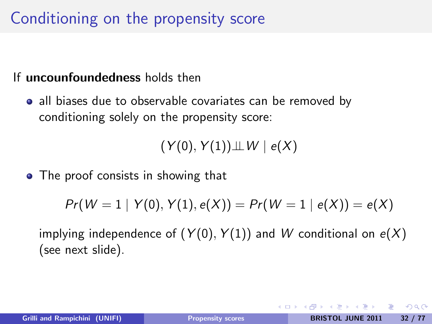## Conditioning on the propensity score

#### If uncounfoundedness holds then

• all biases due to observable covariates can be removed by conditioning solely on the propensity score:

 $(Y(0), Y(1)) \perp W \mid e(X)$ 

• The proof consists in showing that

$$
Pr(W = 1 | Y(0), Y(1), e(X)) = Pr(W = 1 | e(X)) = e(X)
$$

implying independence of  $(Y(0), Y(1))$  and W conditional on  $e(X)$ (see next slide).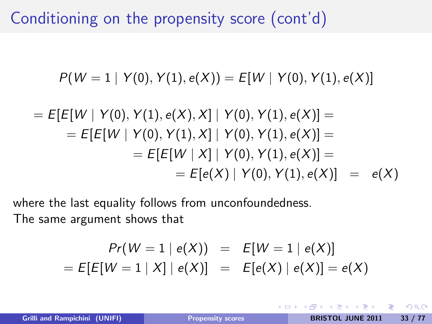Conditioning on the propensity score (cont'd)

$$
P(W = 1 | Y(0), Y(1), e(X)) = E[W | Y(0), Y(1), e(X)]
$$

$$
= E[E[W | Y(0), Y(1), e(X), X] | Y(0), Y(1), e(X)] =
$$
  
\n
$$
= E[E[W | Y(0), Y(1), X] | Y(0), Y(1), e(X)] =
$$
  
\n
$$
= E[E[W | X] | Y(0), Y(1), e(X)] =
$$
  
\n
$$
= E[e(X) | Y(0), Y(1), e(X)] = e(X)
$$

where the last equality follows from unconfoundedness. The same argument shows that

$$
Pr(W = 1 | e(X)) = E[W = 1 | e(X)]
$$
  
= E[E[W = 1 | X] | e(X)] = E[e(X) | e(X)] = e(X)

 $\leftarrow$ 

つくへ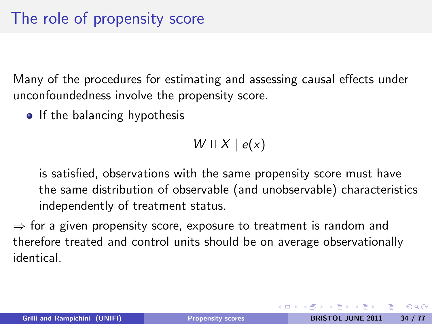Many of the procedures for estimating and assessing causal effects under unconfoundedness involve the propensity score.

• If the balancing hypothesis

<span id="page-33-0"></span> $W \perp\!\!\!\perp X \mid e(x)$ 

is satisfied, observations with the same propensity score must have the same distribution of observable (and unobservable) characteristics independently of treatment status.

 $\Rightarrow$  for a given propensity score, exposure to treatment is random and therefore treated and control units should be on average observationally identical.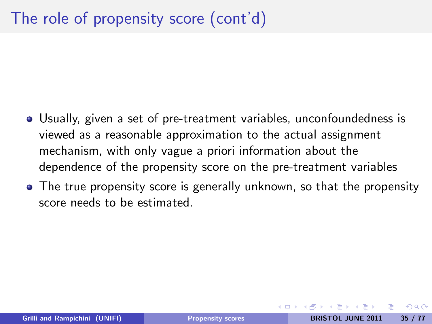- Usually, given a set of pre-treatment variables, unconfoundedness is viewed as a reasonable approximation to the actual assignment mechanism, with only vague a priori information about the dependence of the propensity score on the pre-treatment variables
- The true propensity score is generally unknown, so that the propensity score needs to be estimated.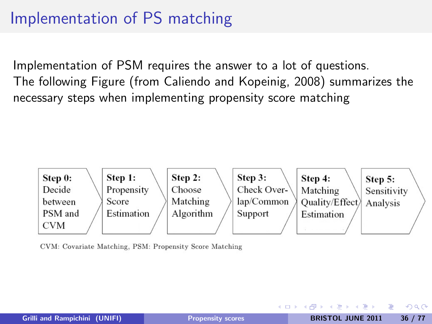## Implementation of PS matching

Implementation of PSM requires the answer to a lot of questions. The following Figure (from Caliendo and Kopeinig, 2008) summarizes the necessary steps when implementing propensity score matching



CVM: Covariate Matching, PSM: Propensity Score Matching

メロメ メ母メ メミメ メミメ

 $2990$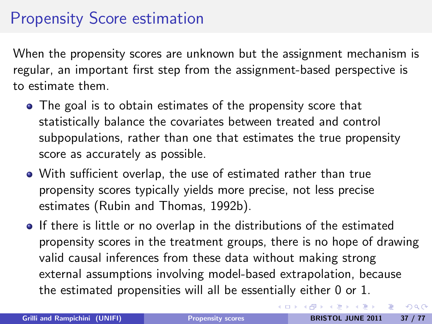## Propensity Score estimation

When the propensity scores are unknown but the assignment mechanism is regular, an important first step from the assignment-based perspective is to estimate them.

- The goal is to obtain estimates of the propensity score that statistically balance the covariates between treated and control subpopulations, rather than one that estimates the true propensity score as accurately as possible.
- With sufficient overlap, the use of estimated rather than true propensity scores typically yields more precise, not less precise estimates (Rubin and Thomas, 1992b).
- If there is little or no overlap in the distributions of the estimated propensity scores in the treatment groups, there is no hope of drawing valid causal inferences from these data without making strong external assumptions involving model-based extrapolation, because the estimated propensities will all be essentially either 0 or 1.

 $2990$ 

イロメ イ部メ イミメ イモメー 毛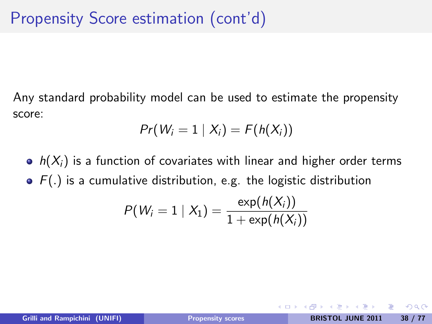Any standard probability model can be used to estimate the propensity score:

$$
Pr(W_i = 1 | X_i) = F(h(X_i))
$$

•  $h(X_i)$  is a function of covariates with linear and higher order terms  $\bullet$   $F(.)$  is a cumulative distribution, e.g. the logistic distribution

$$
P(W_i = 1 | X_1) = \frac{\exp(h(X_i))}{1 + \exp(h(X_i))}
$$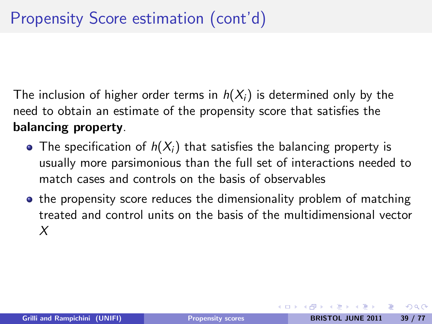The inclusion of higher order terms in  $h(X_i)$  is determined only by the need to obtain an estimate of the propensity score that satisfies the balancing property.

- The specification of  $h(X_i)$  that satisfies the balancing property is usually more parsimonious than the full set of interactions needed to match cases and controls on the basis of observables
- the propensity score reduces the dimensionality problem of matching treated and control units on the basis of the multidimensional vector X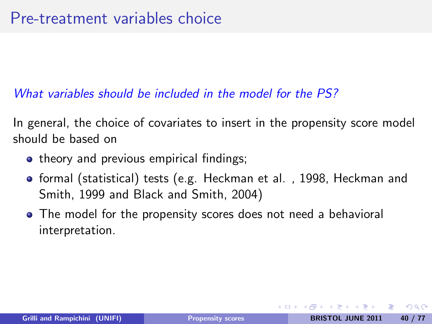#### What variables should be included in the model for the PS?

In general, the choice of covariates to insert in the propensity score model should be based on

- theory and previous empirical findings;
- **o** formal (statistical) tests (e.g. Heckman et al., 1998, Heckman and Smith, 1999 and Black and Smith, 2004)
- The model for the propensity scores does not need a behavioral interpretation.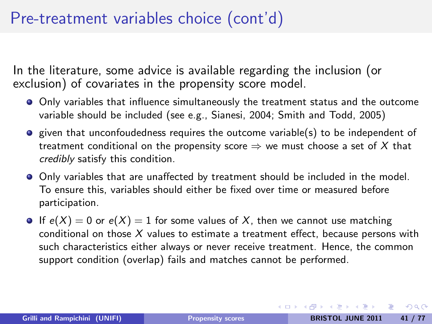## Pre-treatment variables choice (cont'd)

In the literature, some advice is available regarding the inclusion (or exclusion) of covariates in the propensity score model.

- Only variables that influence simultaneously the treatment status and the outcome variable should be included (see e.g., Sianesi, 2004; Smith and Todd, 2005)
- **•** given that unconfoudedness requires the outcome variable(s) to be independent of treatment conditional on the propensity score  $\Rightarrow$  we must choose a set of X that credibly satisfy this condition.
- Only variables that are unaffected by treatment should be included in the model. To ensure this, variables should either be fixed over time or measured before participation.
- If  $e(X) = 0$  or  $e(X) = 1$  for some values of X, then we cannot use matching conditional on those  $X$  values to estimate a treatment effect, because persons with such characteristics either always or never receive treatment. Hence, the common support condition (overlap) fails and matches cannot be performed.

<span id="page-40-0"></span> $\Omega$ 

イロメ イ母メ イヨメ イヨメーヨ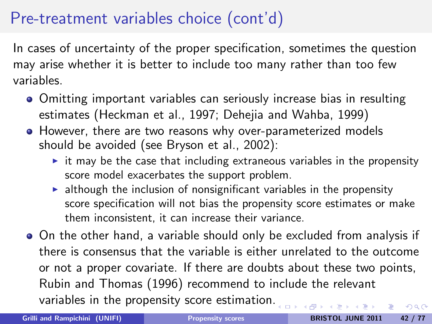## Pre-treatment variables choice (cont'd)

In cases of uncertainty of the proper specification, sometimes the question may arise whether it is better to include too many rather than too few variables.

- Omitting important variables can seriously increase bias in resulting estimates (Heckman et al., 1997; Dehejia and Wahba, 1999)
- However, there are two reasons why over-parameterized models should be avoided (see Bryson et al., 2002):
	- $\triangleright$  it may be the case that including extraneous variables in the propensity score model exacerbates the support problem.
	- $\blacktriangleright$  although the inclusion of nonsignificant variables in the propensity score specification will not bias the propensity score estimates or make them inconsistent, it can increase their variance.
- On the other hand, a variable should only be excluded from analysis if there is consensus that the variable is either unrelated to the outcome or not a proper covariate. If there are doubts about these two points, Rubin and Thomas (1996) recommend to include the relevant variables in the propensity score estimation[.](#page-40-0)  $\Omega$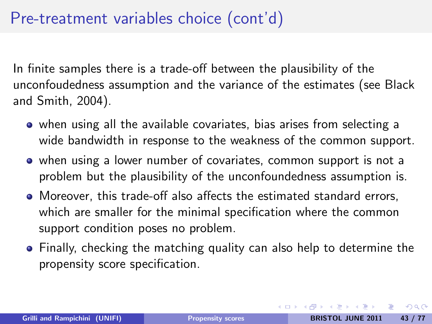## Pre-treatment variables choice (cont'd)

In finite samples there is a trade-off between the plausibility of the unconfoudedness assumption and the variance of the estimates (see Black and Smith, 2004).

- when using all the available covariates, bias arises from selecting a wide bandwidth in response to the weakness of the common support.
- when using a lower number of covariates, common support is not a problem but the plausibility of the unconfoundedness assumption is.
- Moreover, this trade-off also affects the estimated standard errors, which are smaller for the minimal specification where the common support condition poses no problem.
- Finally, checking the matching quality can also help to determine the propensity score specification.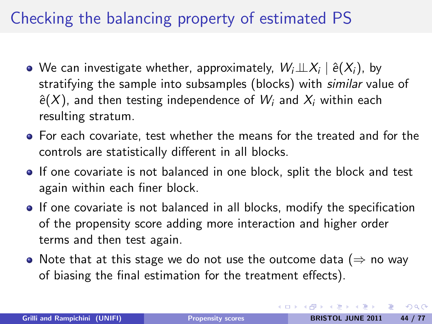## Checking the balancing property of estimated PS

- We can investigate whether, approximately,  $\mathit{W_i\bot\!\!\!\bot} X_i \mid \hat{e}(X_i)$ , by stratifying the sample into subsamples (blocks) with similar value of  $\hat{e}(X)$ , and then testing independence of  $W_i$  and  $X_i$  within each resulting stratum.
- **•** For each covariate, test whether the means for the treated and for the controls are statistically different in all blocks.
- If one covariate is not balanced in one block, split the block and test again within each finer block.
- If one covariate is not balanced in all blocks, modify the specification of the propensity score adding more interaction and higher order terms and then test again.
- Note that at this stage we do not use the outcome data ( $\Rightarrow$  no way of biasing the final estimation for the treatment effects).

 $\Omega$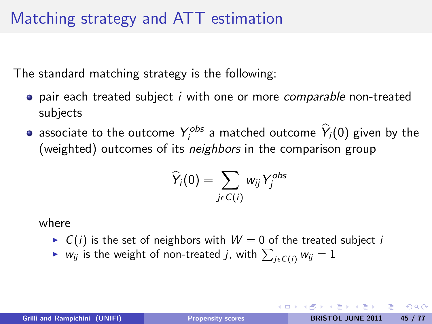The standard matching strategy is the following:

- $\bullet$  pair each treated subject *i* with one or more *comparable* non-treated subjects
- associate to the outcome  $Y_j^{obs}$  a matched outcome  $\hat{Y}_j(0)$  given by the (weighted) outcomes of its neighbors in the comparison group

$$
\widehat{Y}_i(0) = \sum_{j \in C(i)} w_{ij} Y_j^{obs}
$$

where

- $\triangleright$   $C(i)$  is the set of neighbors with  $W = 0$  of the treated subject i
- $\blacktriangleright$   $\;$   $w_{ij}$  is the weight of non-treated  $j$ , with  $\sum_{j\in C(i)}w_{ij}=1$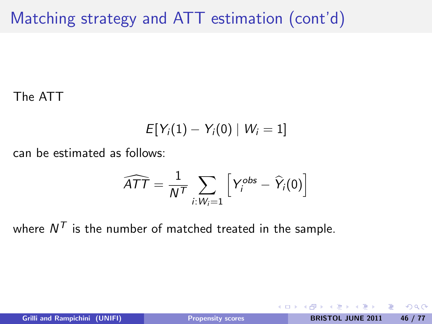## Matching strategy and ATT estimation (cont'd)

The ATT

$$
E[Y_i(1)-Y_i(0)\mid W_i=1]
$$

can be estimated as follows:

$$
\widehat{ATT} = \frac{1}{N^T} \sum_{i:W_i=1} \left[ Y_i^{obs} - \widehat{Y}_i(0) \right]
$$

where  $N^{\mathcal{T}}$  is the number of matched treated in the sample.

4 0 8

 $200$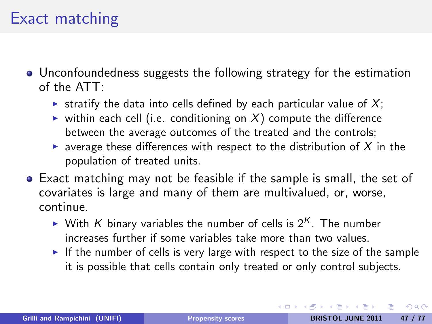#### Exact matching

- Unconfoundedness suggests the following strategy for the estimation of the ATT:
	- In stratify the data into cells defined by each particular value of  $X$ ;
	- ighthermion virthin each cell (i.e. conditioning on  $X$ ) compute the difference between the average outcomes of the treated and the controls;
	- **Exercise 2** average these differences with respect to the distribution of  $X$  in the population of treated units.
- Exact matching may not be feasible if the sample is small, the set of covariates is large and many of them are multivalued, or, worse, continue.
	- If With K binary variables the number of cells is  $2<sup>K</sup>$ . The number increases further if some variables take more than two values.
	- If the number of cells is very large with respect to the size of the sample it is possible that cells contain only treated or only control subjects.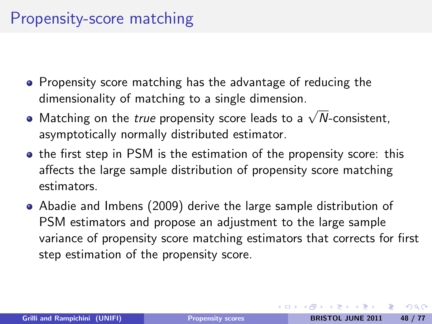## Propensity-score matching

- Propensity score matching has the advantage of reducing the dimensionality of matching to a single dimension.
- $\frac{1}{2}$  annonsistiantly of matering to a single annonsism. asymptotically normally distributed estimator.
- **•** the first step in PSM is the estimation of the propensity score: this affects the large sample distribution of propensity score matching estimators.
- Abadie and Imbens (2009) derive the large sample distribution of PSM estimators and propose an adjustment to the large sample variance of propensity score matching estimators that corrects for first step estimation of the propensity score.

つのへ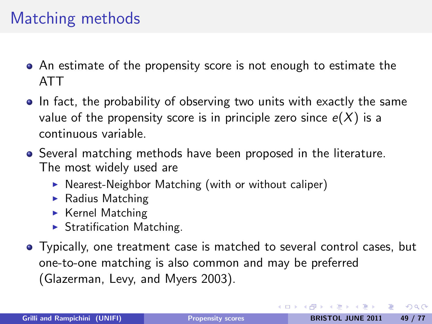## Matching methods

- An estimate of the propensity score is not enough to estimate the ATT
- In fact, the probability of observing two units with exactly the same value of the propensity score is in principle zero since  $e(X)$  is a continuous variable.
- Several matching methods have been proposed in the literature. The most widely used are
	- $\triangleright$  Nearest-Neighbor Matching (with or without caliper)
	- $\blacktriangleright$  Radius Matching
	- $\blacktriangleright$  Kernel Matching
	- $\blacktriangleright$  Stratification Matching.
- Typically, one treatment case is matched to several control cases, but one-to-one matching is also common and may be preferred (Glazerman, Levy, and Myers 2003).

 $\Omega$ 

イロン イ母ン イヨン イヨン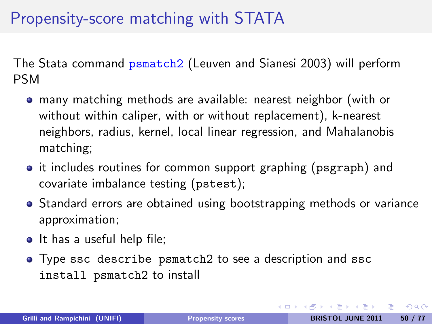## Propensity-score matching with STATA

The Stata command psmatch2 (Leuven and Sianesi 2003) will perform PSM

- many matching methods are available: nearest neighbor (with or without within caliper, with or without replacement), k-nearest neighbors, radius, kernel, local linear regression, and Mahalanobis matching;
- it includes routines for common support graphing (psgraph) and covariate imbalance testing (pstest);
- Standard errors are obtained using bootstrapping methods or variance approximation;
- It has a useful help file;
- Type ssc describe psmatch2 to see a description and ssc install psmatch2 to install

つのへ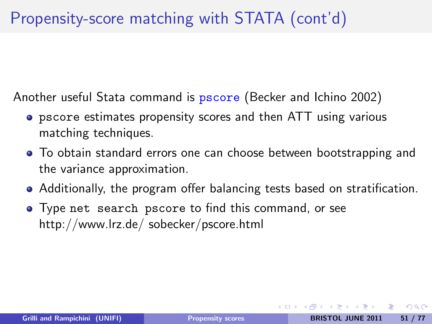## Propensity-score matching with STATA (cont'd)

Another useful Stata command is **pscore** (Becker and Ichino 2002)

- pscore estimates propensity scores and then ATT using various matching techniques.
- To obtain standard errors one can choose between bootstrapping and the variance approximation.
- Additionally, the program offer balancing tests based on stratification.
- Type net search pscore to find this command, or see http://www.lrz.de/ sobecker/pscore.html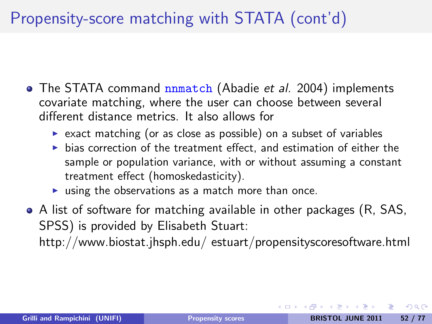## Propensity-score matching with STATA (cont'd)

- The STATA command **nnmatch** (Abadie et al. 2004) implements covariate matching, where the user can choose between several different distance metrics. It also allows for
	- $\triangleright$  exact matching (or as close as possible) on a subset of variables
	- $\triangleright$  bias correction of the treatment effect, and estimation of either the sample or population variance, with or without assuming a constant treatment effect (homoskedasticity).
	- $\triangleright$  using the observations as a match more than once.
- A list of software for matching available in other packages (R, SAS, SPSS) is provided by Elisabeth Stuart:

http://www.biostat.jhsph.edu/ estuart/propensityscoresoftware.html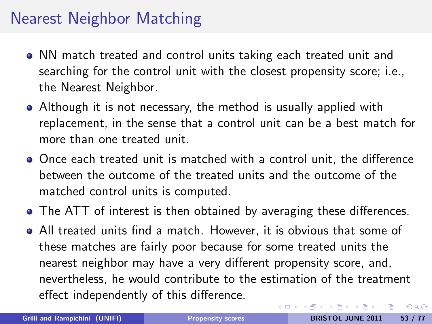## Nearest Neighbor Matching

- NN match treated and control units taking each treated unit and searching for the control unit with the closest propensity score; i.e., the Nearest Neighbor.
- Although it is not necessary, the method is usually applied with replacement, in the sense that a control unit can be a best match for more than one treated unit.
- Once each treated unit is matched with a control unit, the difference between the outcome of the treated units and the outcome of the matched control units is computed.
- The ATT of interest is then obtained by averaging these differences.
- All treated units find a match. However, it is obvious that some of these matches are fairly poor because for some treated units the nearest neighbor may have a very different propensity score, and, nevertheless, he would contribute to the estimation of the treatment effect independently of this difference.

 $\Omega$ 

イロト イ母 トイラト イラト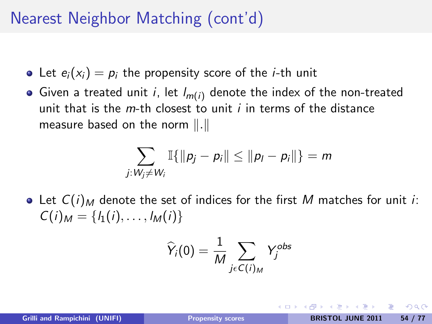## Nearest Neighbor Matching (cont'd)

- Let  $e_i(x_i) = p_i$  the propensity score of the *i*-th unit
- Given a treated unit i, let  $l_{m(i)}$  denote the index of the non-treated unit that is the  $m$ -th closest to unit  $i$  in terms of the distance measure based on the norm  $\Vert . \Vert$

$$
\sum_{j: W_j \neq W_i} \mathbb{I}\{\|p_j - p_i\| \leq \|p_l - p_i\|\} = m
$$

• Let  $C(i)_M$  denote the set of indices for the first M matches for unit *i*:  $C(i)_M = \{l_1(i), \ldots, l_M(i)\}\$ 

$$
\widehat{Y}_i(0) = \frac{1}{M} \sum_{j \in C(i)_M} Y_j^{obs}
$$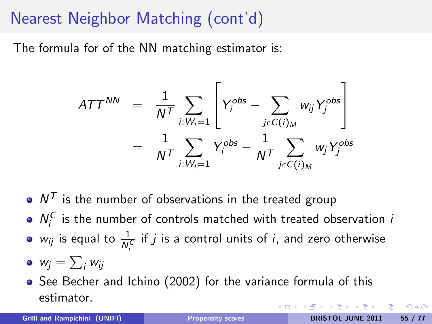## Nearest Neighbor Matching (cont'd)

The formula for of the NN matching estimator is:

$$
ATT^{NN} = \frac{1}{N^T} \sum_{i: W_i=1} \left[ Y_i^{obs} - \sum_{j \in C(i)_M} w_{ij} Y_j^{obs} \right]
$$
  
= 
$$
\frac{1}{N^T} \sum_{i: W_i=1} Y_i^{obs} - \frac{1}{N^T} \sum_{j \in C(i)_M} w_j Y_j^{obs}
$$

- $N^{\mathcal{T}}$  is the number of observations in the treated group
- $N_i^C$  is the number of controls matched with treated observation i
- $w_{ij}$  is equal to  $\frac{1}{N_i^C}$  if  $j$  is a control units of  $i$ , and zero otherwise
- $w_j = \sum_i w_{ij}$
- See Becher and Ichino (2002) for the variance formula of this estimator.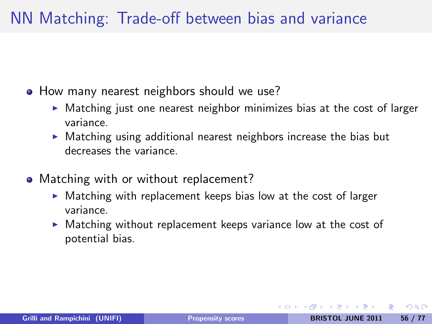#### NN Matching: Trade-off between bias and variance

- How many nearest neighbors should we use?
	- $\blacktriangleright$  Matching just one nearest neighbor minimizes bias at the cost of larger variance.
	- $\triangleright$  Matching using additional nearest neighbors increase the bias but decreases the variance.
- Matching with or without replacement?
	- $\triangleright$  Matching with replacement keeps bias low at the cost of larger variance.
	- $\triangleright$  Matching without replacement keeps variance low at the cost of potential bias.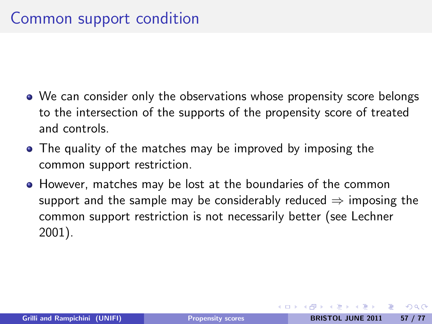- We can consider only the observations whose propensity score belongs to the intersection of the supports of the propensity score of treated and controls.
- The quality of the matches may be improved by imposing the common support restriction.
- However, matches may be lost at the boundaries of the common support and the sample may be considerably reduced  $\Rightarrow$  imposing the common support restriction is not necessarily better (see Lechner 2001).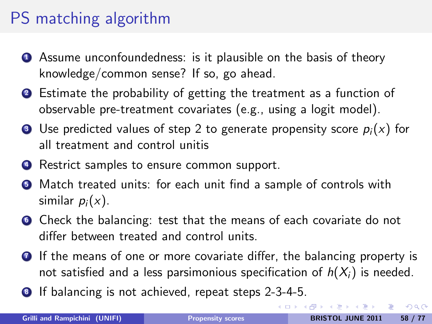## PS matching algorithm

- **4** Assume unconfoundedness: is it plausible on the basis of theory knowledge/common sense? If so, go ahead.
- <sup>2</sup> Estimate the probability of getting the treatment as a function of observable pre-treatment covariates (e.g., using a logit model).
- **3** Use predicted values of step 2 to generate propensity score  $p_i(x)$  for all treatment and control unitis
- **4** Restrict samples to ensure common support.
- **•** Match treated units: for each unit find a sample of controls with similar  $p_i(x)$ .
- **<sup>1</sup>** Check the balancing: test that the means of each covariate do not differ between treated and control units.
- **•** If the means of one or more covariate differ, the balancing property is not satisfied and a less parsimonious specification of  $h(X_i)$  is needed.
- <sup>8</sup> If balancing is not achieved, repeat steps 2-3-4-5.

 $\Omega$ 

イロト イ押 トイヨ トイヨ トーヨ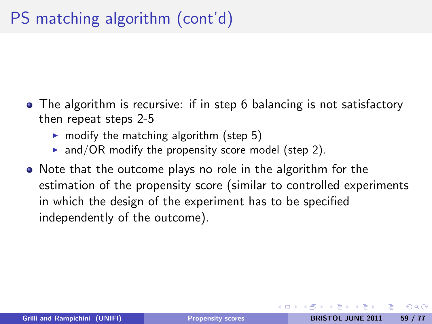- The algorithm is recursive: if in step 6 balancing is not satisfactory then repeat steps 2-5
	- $\triangleright$  modify the matching algorithm (step 5)
	- $\triangleright$  and/OR modify the propensity score model (step 2).
- Note that the outcome plays no role in the algorithm for the estimation of the propensity score (similar to controlled experiments in which the design of the experiment has to be specified independently of the outcome).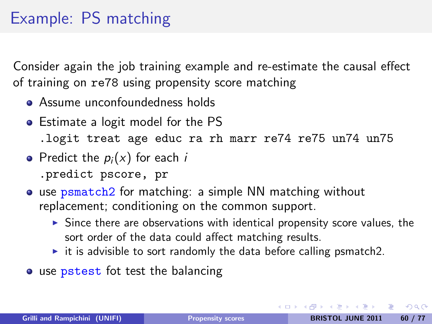## Example: PS matching

Consider again the job training example and re-estimate the causal effect of training on re78 using propensity score matching

- Assume unconfoundedness holds
- Estimate a logit model for the PS .logit treat age educ ra rh marr re74 re75 un74 un75
- Predict the  $p_i(x)$  for each i .predict pscore, pr
- use psmatch2 for matching: a simple NN matching without replacement; conditioning on the common support.
	- $\triangleright$  Since there are observations with identical propensity score values, the sort order of the data could affect matching results.
	- $\triangleright$  it is advisible to sort randomly the data before calling psmatch2.
- use pstest fot test the balancing

 $\Omega$ 

イロメ イ母メ イヨメ イヨメーヨ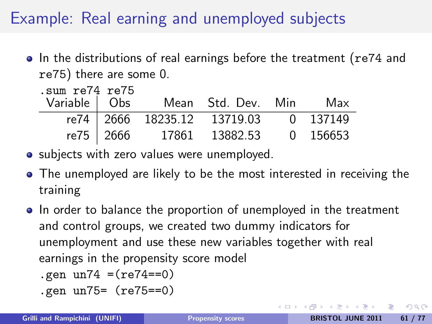## Example: Real earning and unemployed subjects

• In the distributions of real earnings before the treatment (re74 and re75) there are some 0.

| sum re74 re75. |  |  |                                       |  |  |  |  |  |
|----------------|--|--|---------------------------------------|--|--|--|--|--|
|                |  |  | Variable   Obs Mean Std. Dev. Min Max |  |  |  |  |  |
|                |  |  | re74 2666 18235.12 13719.03 0 137149  |  |  |  |  |  |
|                |  |  | re75 2666 17861 13882.53 0 156653     |  |  |  |  |  |

- subjects with zero values were unemployed.
- The unemployed are likely to be the most interested in receiving the training
- In order to balance the proportion of unemployed in the treatment and control groups, we created two dummy indicators for unemployment and use these new variables together with real earnings in the propensity score model
	- .gen  $un74 = (re74 == 0)$
	- .gen un75= (re75==0)

 $\Omega$ 

メロメ メ母メ メミメ メミメ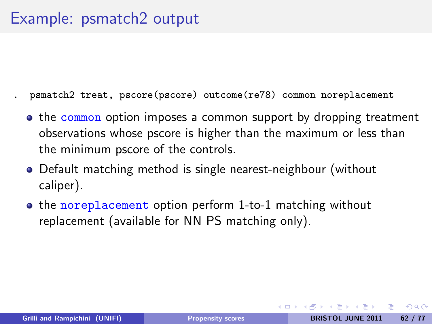- . psmatch2 treat, pscore(pscore) outcome(re78) common noreplacement
- the common option imposes a common support by dropping treatment observations whose pscore is higher than the maximum or less than the minimum pscore of the controls.
- Default matching method is single nearest-neighbour (without caliper).
- the noreplacement option perform 1-to-1 matching without replacement (available for NN PS matching only).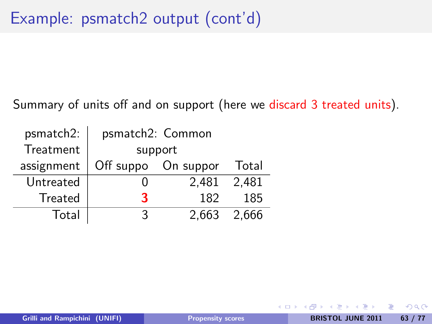Summary of units off and on support (here we discard 3 treated units).

| psmatch2:      | psmatch2: Common |                     |         |
|----------------|------------------|---------------------|---------|
| Treatment      | support          |                     |         |
| assignment     |                  | Off suppo On suppor | Total   |
| Untreated      |                  | 2.481               | 2,481   |
| <b>Treated</b> | ર                | 182                 | 185     |
| Total          | 2                | 2.663               | - 2.666 |

 $200$ 

**∢ ロ ▶ 《 何**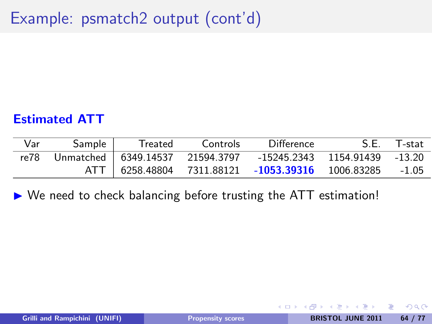## Example: psmatch2 output (cont'd)

#### Estimated ATT

| Var  | Sample | Treated | Controls | Difference                                                      | S.E. T-stat |
|------|--------|---------|----------|-----------------------------------------------------------------|-------------|
| re78 |        |         |          | Unmatched   6349.14537 21594.3797 -15245.2343 1154.91439 -13.20 |             |
|      |        |         |          | ATT   6258.48804 7311.88121 -1053.39316 1006.83285 -1.05        |             |

 $\triangleright$  We need to check balancing before trusting the ATT estimation!

重

 $200$ 

化重变 化重

**∢ ロ ▶ ( 印**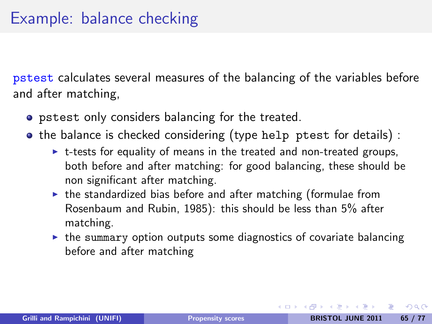pstest calculates several measures of the balancing of the variables before and after matching,

- pstest only considers balancing for the treated.
- the balance is checked considering (type help ptest for details) :
	- $\triangleright$  t-tests for equality of means in the treated and non-treated groups, both before and after matching: for good balancing, these should be non significant after matching.
	- $\triangleright$  the standardized bias before and after matching (formulae from Rosenbaum and Rubin, 1985): this should be less than 5% after matching.
	- $\triangleright$  the summary option outputs some diagnostics of covariate balancing before and after matching

 $\Omega$ 

イロン イ母ン イヨン イヨン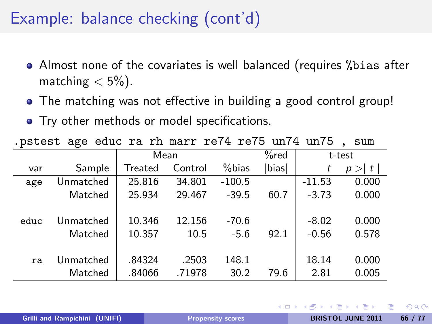#### Example: balance checking (cont'd)

- Almost none of the covariates is well balanced (requires %bias after matching  $< 5\%$ ).
- The matching was not effective in building a good control group!
- Try other methods or model specifications.

| . pstest age educt a limali fert fero dirt dirt<br>، سە ت |           |         |         |          |        |          |               |
|-----------------------------------------------------------|-----------|---------|---------|----------|--------|----------|---------------|
| Mean                                                      |           |         |         | $%$ red  | t-test |          |               |
| var                                                       | Sample    | Treated | Control | $%$ bias | bias   | t        | $>$   t <br>р |
| age                                                       | Unmatched | 25.816  | 34.801  | $-100.5$ |        | $-11.53$ | 0.000         |
|                                                           | Matched   | 25.934  | 29.467  | $-39.5$  | 60.7   | $-3.73$  | 0.000         |
|                                                           |           |         |         |          |        |          |               |
| educ                                                      | Unmatched | 10.346  | 12.156  | $-70.6$  |        | $-8.02$  | 0.000         |
|                                                           | Matched   | 10.357  | 10.5    | $-5.6$   | 92.1   | $-0.56$  | 0.578         |
|                                                           |           |         |         |          |        |          |               |
| ra                                                        | Unmatched | .84324  | .2503   | 148.1    |        | 18.14    | 0.000         |
|                                                           | Matched   | .84066  | .71978  | 30.2     | 79.6   | 2.81     | 0.005         |

 $p_{0}$  agus ra rh marr re $74$  re $75$  un $74$  un $75$ 

Grilli and Rampichini (UNIFI) **[Propensity scores](#page-0-0)** BRISTOL JUNE 2011 66 / 77

4 0 8 4

 $200$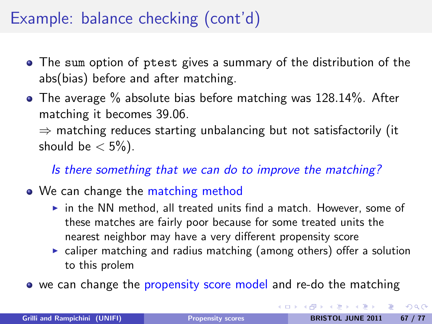## Example: balance checking (cont'd)

- The sum option of ptest gives a summary of the distribution of the abs(bias) before and after matching.
- The average % absolute bias before matching was 128.14%. After matching it becomes 39.06.

 $\Rightarrow$  matching reduces starting unbalancing but not satisfactorily (it should be  $< 5\%$ ).

Is there something that we can do to improve the matching?

#### • We can change the matching method

- $\triangleright$  in the NN method, all treated units find a match. However, some of these matches are fairly poor because for some treated units the nearest neighbor may have a very different propensity score
- $\triangleright$  caliper matching and radius matching (among others) offer a solution to this prolem
- we can change the propensity score model and re-do the matching

<span id="page-66-0"></span> $200$ 

イロト イ母ト イラト イラト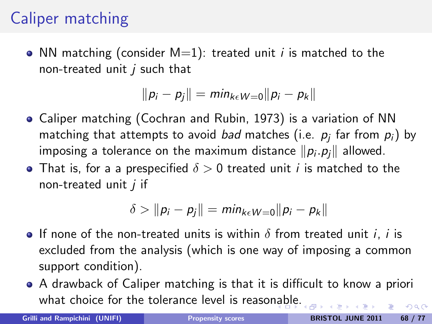## Caliper matching

• NN matching (consider  $M=1$ ): treated unit *i* is matched to the non-treated unit  $i$  such that

$$
||p_i - p_j|| = min_{k \in W = 0} ||p_i - p_k||
$$

- Caliper matching (Cochran and Rubin, 1973) is a variation of NN matching that attempts to avoid *bad* matches (i.e.  $\rho_j$  far from  $\rho_i)$  by imposing a tolerance on the maximum distance  $\|p_i.p_j\|$  allowed.
- That is, for a a prespecified  $\delta > 0$  treated unit *i* is matched to the non-treated unit  $i$  if

$$
\delta > ||p_i - p_j|| = min_{k \in W = 0} ||p_i - p_k||
$$

- **If none of the non-treated units is within**  $\delta$  **from treated unit i, i is** excluded from the analysis (which is one way of imposing a common support condition).
- A drawback of Caliper matching is that it is difficult to know a priori what choice for the tolerance level is reaso[nab](#page-66-0)[le.](#page-68-0)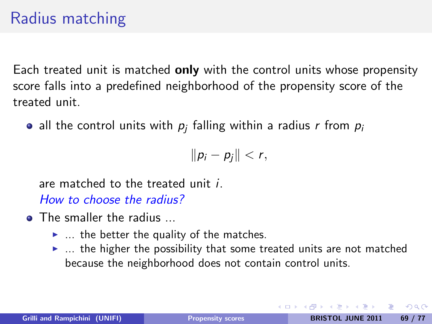## Radius matching

Each treated unit is matched only with the control units whose propensity score falls into a predefined neighborhood of the propensity score of the treated unit.

all the control units with  $\rho_j$  falling within a radius  $r$  from  $\rho_i$ 

<span id="page-68-0"></span> $||p_i - p_j|| < r$ ,

are matched to the treated unit i. How to choose the radius?

- **o** The smaller the radius
	- $\blacktriangleright$  ... the better the quality of the matches.
	- $\blacktriangleright$  ... the higher the possibility that some treated units are not matched because the neighborhood does not contain control units.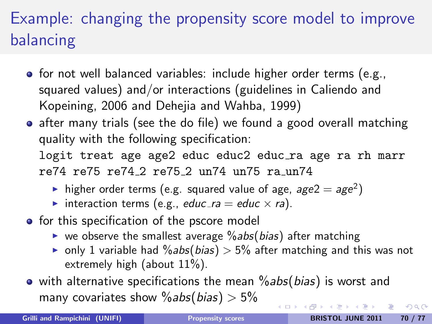# Example: changing the propensity score model to improve balancing

- $\bullet$  for not well balanced variables: include higher order terms (e.g., squared values) and/or interactions (guidelines in Caliendo and Kopeining, 2006 and Dehejia and Wahba, 1999)
- after many trials (see the do file) we found a good overall matching quality with the following specification: logit treat age age2 educ educ2 educ\_ra age ra rh marr re74 re75 re74 2 re75 2 un74 un75 ra un74
	- ightharporpheum in the squared value of age,  $age2 = age^2$ )
	- interaction terms (e.g., educ ra = educ  $\times$  ra).
- **•** for this specification of the pscore model
	- $\triangleright$  we observe the smallest average  $\%$  abs(bias) after matching
	- only 1 variable had  $\%$ abs(bias) > 5% after matching and this was not extremely high (about  $11\%$ ).
- $\bullet$  with alternative specifications the mean  $\%$  abs(bias) is worst and many covariates show  $\%$ abs(bias) > 5%

 $QQ$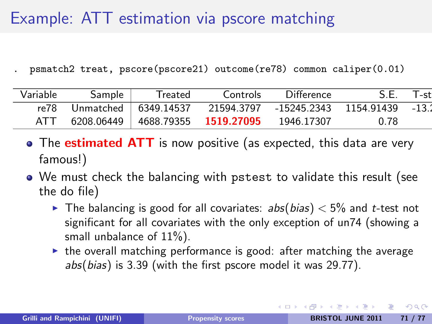## Example: ATT estimation via pscore matching

. psmatch2 treat, pscore(pscore21) outcome(re78) common caliper(0.01)

| Variable | Sample | Treated | Controls                                      | Difference                                                          | S F  | T-stl |
|----------|--------|---------|-----------------------------------------------|---------------------------------------------------------------------|------|-------|
|          |        |         |                                               | re78 Unmatched   6349.14537 21594.3797 -15245.2343 1154.91439 -13.2 |      |       |
| ATT      |        |         | 6208.06449   4688.79355 1519.27095 1946.17307 |                                                                     | 0.78 |       |

- The **estimated ATT** is now positive (as expected, this data are very famous!)
- We must check the balancing with pstest to validate this result (see the do file)
	- In The balancing is good for all covariates:  $abs(bias) < 5\%$  and t-test not significant for all covariates with the only exception of un74 (showing a small unbalance of  $11\%$ ).
	- $\blacktriangleright$  the overall matching performance is good: after matching the average abs(bias) is 3.39 (with the first pscore model it was 29.77).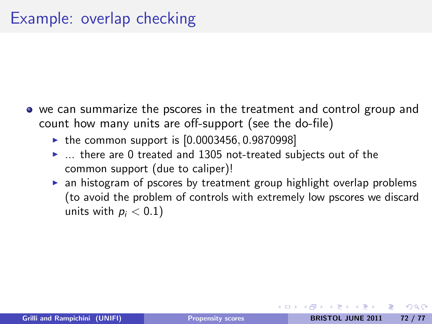- we can summarize the pscores in the treatment and control group and count how many units are off-support (see the do-file)
	- $\triangleright$  the common support is  $[0.0003456, 0.9870998]$
	- $\blacktriangleright$  ... there are 0 treated and 1305 not-treated subjects out of the common support (due to caliper)!
	- $\triangleright$  an histogram of pscores by treatment group highlight overlap problems (to avoid the problem of controls with extremely low pscores we discard units with  $p_i < 0.1$ )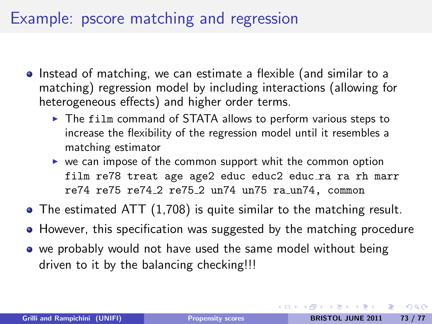## Example: pscore matching and regression

- Instead of matching, we can estimate a flexible (and similar to a matching) regression model by including interactions (allowing for heterogeneous effects) and higher order terms.
	- $\triangleright$  The film command of STATA allows to perform various steps to increase the flexibility of the regression model until it resembles a matching estimator
	- $\triangleright$  we can impose of the common support whit the common option film re78 treat age age2 educ educ2 educ\_ra ra rh marr re74 re75 re74 2 re75 2 un74 un75 ra un74, common
- The estimated ATT (1,708) is quite similar to the matching result.
- However, this specification was suggested by the matching procedure
- we probably would not have used the same model without being driven to it by the balancing checking!!!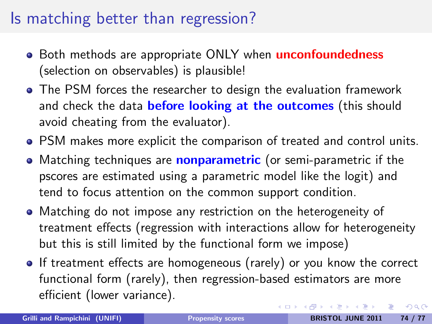## Is matching better than regression?

- Both methods are appropriate ONLY when **unconfoundedness** (selection on observables) is plausible!
- The PSM forces the researcher to design the evaluation framework and check the data **before looking at the outcomes** (this should avoid cheating from the evaluator).
- PSM makes more explicit the comparison of treated and control units.
- Matching techniques are **nonparametric** (or semi-parametric if the pscores are estimated using a parametric model like the logit) and tend to focus attention on the common support condition.
- Matching do not impose any restriction on the heterogeneity of treatment effects (regression with interactions allow for heterogeneity but this is still limited by the functional form we impose)
- If treatment effects are homogeneous (rarely) or you know the correct functional form (rarely), then regression-based estimators are more efficient (lower variance). イロト イ母 トイラト イラト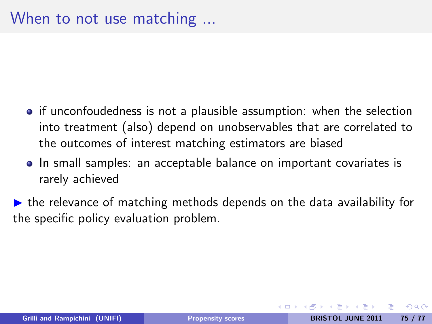- if unconfoudedness is not a plausible assumption: when the selection into treatment (also) depend on unobservables that are correlated to the outcomes of interest matching estimators are biased
- In small samples: an acceptable balance on important covariates is rarely achieved
- $\triangleright$  the relevance of matching methods depends on the data availability for the specific policy evaluation problem.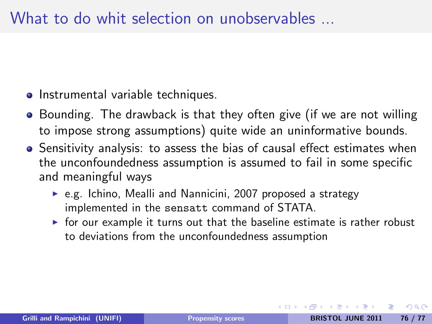- Instrumental variable techniques.
- Bounding. The drawback is that they often give (if we are not willing to impose strong assumptions) quite wide an uninformative bounds.
- Sensitivity analysis: to assess the bias of causal effect estimates when the unconfoundedness assumption is assumed to fail in some specific and meaningful ways
	- $\triangleright$  e.g. Ichino, Mealli and Nannicini, 2007 proposed a strategy implemented in the sensatt command of STATA.
	- $\triangleright$  for our example it turns out that the baseline estimate is rather robust to deviations from the unconfoundedness assumption